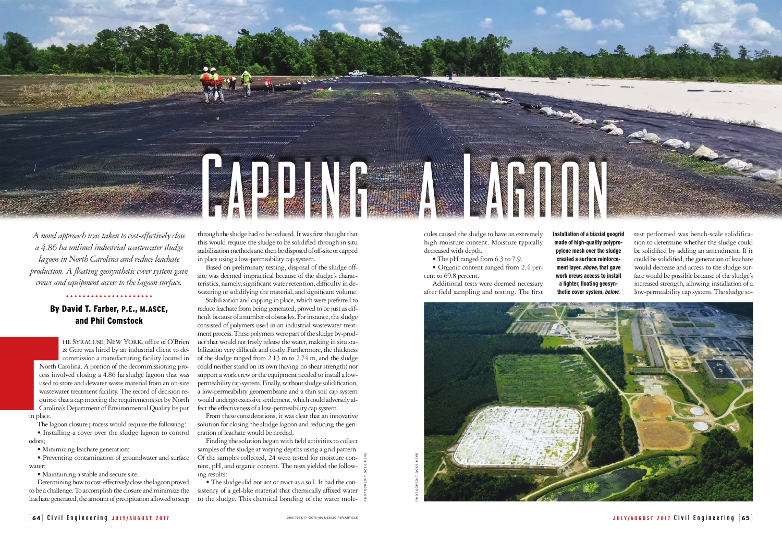cules caused the sludge to have an extremely high moisture content. Moisture typically decreased with depth.

• The pH ranged from 6.3 to 7.9.

• Organic content ranged from 2.4 percent to 69.8 percent.

Additional tests were deemed necessary after field sampling and testing. The first test performed was bench-scale solidification to determine whether the sludge could be solidified by adding an amendment. If it could be solidified, the generation of leachate would decrease and access to the sludge surface would be possible because of the sludge's increased strength, allowing installation of a low-permeability cap system. The sludge so-

he Syracuse, New York, office of O'Brien & Gere was hired by an industrial client to decommission a manufacturing facility located in North Carolina. A portion of the decommissioning process involved closing a 4.86 ha sludge lagoon that was used to store and dewater waste material from an on-site wastewater treatment facility. The record of decision required that a cap meeting the requirements set by North Carolina's Department of Environmental Quality be put in place. By<br>
North C<br>
cess invo<br>
used to s<br>
wastewa<br>
quired the<br>
Carolina<br>
in place.<br>
The lagoo

PHOTOCREDIT GOES HERE

*A novel approach was taken to cost-effectively close a 4.86 ha unlined industrial wastewater sludge lagoon in North Carolina and reduce leachate production. A floating geosynthetic cover system gave crews and equipment access to the lagoon surface.* 

## By David T. Farber, p.e., m.asce, and Phil Comstock

The lagoon closure process would require the following:

• Installing a cover over the sludge lagoon to control odors;

• Minimizing leachate generation;

• Preventing contamination of groundwater and surface water;

• Maintaining a stable and secure site.

Determining how to cost-effectively close the lagoon proved to be a challenge. To accomplish the closure and minimize the leachate generated, the amount of precipitation allowed to seep

through the sludge had to be reduced. It was first thought that this would require the sludge to be solidified through in situ stabilization methods and then be disposed of off-site or capped in place using a low-permeability cap system.

Based on preliminary testing, disposal of the sludge offsite was deemed impractical because of the sludge's characteristics, namely, significant water retention, difficulty in dewatering or solidifying the material, and significant volume.

Stabilization and capping in place, which were preferred to reduce leachate from being generated, proved to be just as difficult because of a number of obstacles. For instance, the sludge consisted of polymers used in an industrial wastewater treatment process. These polymers were part of the sludge by-product that would not freely release the water, making in situ stabilization very difficult and costly. Furthermore, the thickness of the sludge ranged from 2.13 m to 2.74 m, and the sludge could neither stand on its own (having no shear strength) nor support a work crew or the equipment needed to install a lowpermeability cap system. Finally, without sludge solidification, a low-permeability geomembrane and a thin soil cap system would undergo excessive settlement, which could adversely affect the effectiveness of a low-permeability cap system.

From these considerations, it was clear that an innovative solution for closing the sludge lagoon and reducing the generation of leachate would be needed.

Finding the solution began with field activities to collect samples of the sludge at varying depths using a grid pattern. Of the samples collected, 24 were tested for moisture content, pH, and organic content. The tests yielded the following results:

• The sludge did not act or react as a soil. It had the consistency of a gel-like material that chemically affixed water to the sludge. This chemical bonding of the water molePHOTOCREDIT GOES HERE

Installation of a biaxial geogrid made of high-quality polypropylene mesh over the sludge created a surface reinforcement layer, *above,* that gave work crews access to install a lighter, floating geosyn-

thetic cover system, *below.*